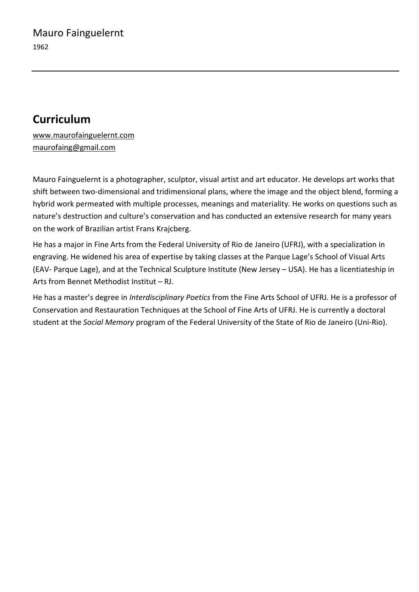## **Curriculum**

www.maurofainguelernt.com maurofaing@gmail.com

Mauro Fainguelernt is a photographer, sculptor, visual artist and art educator. He develops art works that shift between two-dimensional and tridimensional plans, where the image and the object blend, forming a hybrid work permeated with multiple processes, meanings and materiality. He works on questions such as nature's destruction and culture's conservation and has conducted an extensive research for many years on the work of Brazilian artist Frans Krajcberg.

He has a major in Fine Arts from the Federal University of Rio de Janeiro (UFRJ), with a specialization in engraving. He widened his area of expertise by taking classes at the Parque Lage's School of Visual Arts (EAV- Parque Lage), and at the Technical Sculpture Institute (New Jersey – USA). He has a licentiateship in Arts from Bennet Methodist Institut – RJ.

He has a master's degree in *Interdisciplinary Poetics* from the Fine Arts School of UFRJ. He is a professor of Conservation and Restauration Techniques at the School of Fine Arts of UFRJ. He is currently a doctoral student at the *Social Memory* program of the Federal University of the State of Rio de Janeiro (Uni-Rio).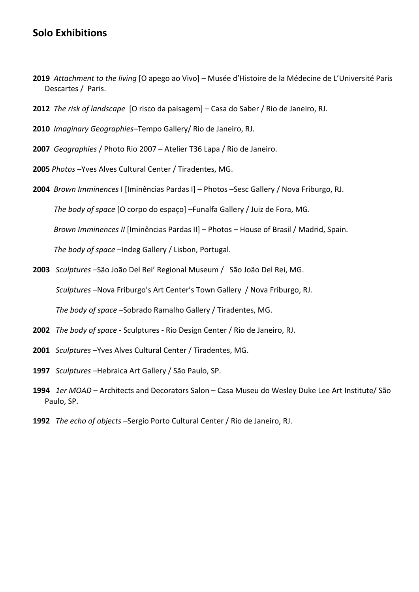## **Solo Exhibitions**

- **2019** *Attachment to the living* [O apego ao Vivo] Musée d'Histoire de la Médecine de L'Université Paris Descartes / Paris.
- **2012** *The risk of landscape* [O risco da paisagem] Casa do Saber / Rio de Janeiro, RJ.
- **2010** *Imaginary Geographies*–Tempo Gallery/ Rio de Janeiro, RJ.
- **2007** *Geographies* / Photo Rio 2007 Atelier T36 Lapa / Rio de Janeiro.
- **2005** *Photos* –Yves Alves Cultural Center / Tiradentes, MG.
- **2004** *Brown Imminences* I [Iminências Pardas I] Photos –Sesc Gallery / Nova Friburgo, RJ.

*The body of space* [O corpo do espaço] –Funalfa Gallery / Juiz de Fora, MG.

*Brown Imminences II* [Iminências Pardas II] – Photos – House of Brasil / Madrid, Spain.

*The body of space* –Indeg Gallery / Lisbon, Portugal.

**2003** *Sculptures* –São João Del Rei' Regional Museum / São João Del Rei, MG.

*Sculptures* –Nova Friburgo's Art Center's Town Gallery / Nova Friburgo, RJ.

*The body of space* –Sobrado Ramalho Gallery / Tiradentes, MG.

- **2002** *The body of space* Sculptures Rio Design Center / Rio de Janeiro, RJ.
- **2001** *Sculptures* –Yves Alves Cultural Center / Tiradentes, MG.
- **1997** *Sculptures* –Hebraica Art Gallery / São Paulo, SP.
- **1994** *1er MOAD* Architects and Decorators Salon Casa Museu do Wesley Duke Lee Art Institute/ São Paulo, SP.
- **1992** *The echo of objects* –Sergio Porto Cultural Center / Rio de Janeiro, RJ.